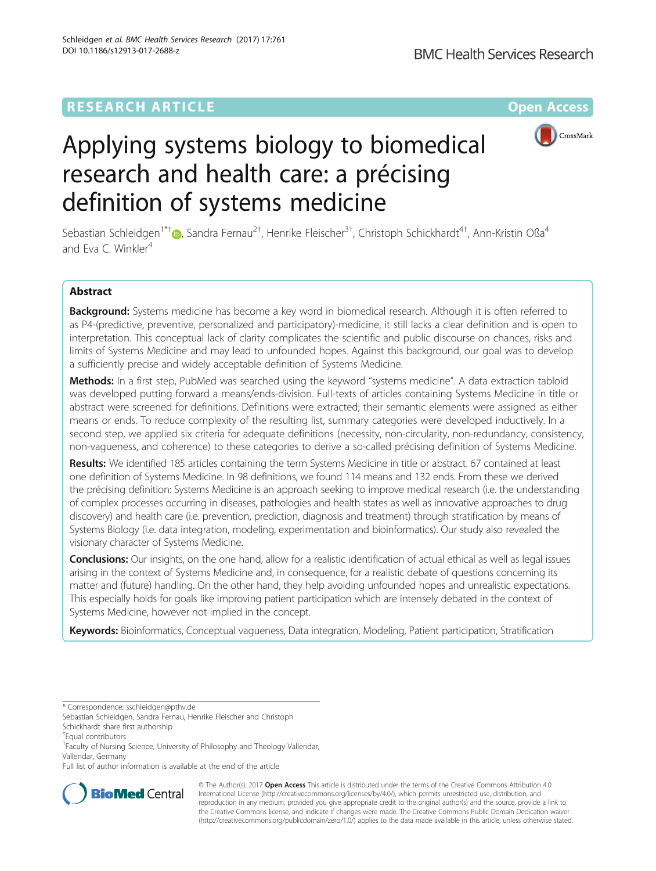# **RESEARCH ARTICLE Example 2018 12:00 Department of the CONNECTION CONNECTION CONNECTION CONNECTION CONNECTION**



# Applying systems biology to biomedical research and health care: a précising definition of systems medicine

Sebastian Schleidgen<sup>1\*†</sup>®[,](http://orcid.org/0000-0002-7564-8675) Sandra Fernau<sup>2†</sup>, Henrike Fleischer<sup>3†</sup>, Christoph Schickhardt<sup>4†</sup>, Ann-Kristin Oßa<sup>4</sup> and Eva  $\subset$  Winkler<sup>4</sup>

# Abstract

Background: Systems medicine has become a key word in biomedical research. Although it is often referred to as P4-(predictive, preventive, personalized and participatory)-medicine, it still lacks a clear definition and is open to interpretation. This conceptual lack of clarity complicates the scientific and public discourse on chances, risks and limits of Systems Medicine and may lead to unfounded hopes. Against this background, our goal was to develop a sufficiently precise and widely acceptable definition of Systems Medicine.

Methods: In a first step, PubMed was searched using the keyword "systems medicine". A data extraction tabloid was developed putting forward a means/ends-division. Full-texts of articles containing Systems Medicine in title or abstract were screened for definitions. Definitions were extracted; their semantic elements were assigned as either means or ends. To reduce complexity of the resulting list, summary categories were developed inductively. In a second step, we applied six criteria for adequate definitions (necessity, non-circularity, non-redundancy, consistency, non-vagueness, and coherence) to these categories to derive a so-called précising definition of Systems Medicine.

Results: We identified 185 articles containing the term Systems Medicine in title or abstract. 67 contained at least one definition of Systems Medicine. In 98 definitions, we found 114 means and 132 ends. From these we derived the précising definition: Systems Medicine is an approach seeking to improve medical research (i.e. the understanding of complex processes occurring in diseases, pathologies and health states as well as innovative approaches to drug discovery) and health care (i.e. prevention, prediction, diagnosis and treatment) through stratification by means of Systems Biology (i.e. data integration, modeling, experimentation and bioinformatics). Our study also revealed the visionary character of Systems Medicine.

**Conclusions:** Our insights, on the one hand, allow for a realistic identification of actual ethical as well as legal issues arising in the context of Systems Medicine and, in consequence, for a realistic debate of questions concerning its matter and (future) handling. On the other hand, they help avoiding unfounded hopes and unrealistic expectations. This especially holds for goals like improving patient participation which are intensely debated in the context of Systems Medicine, however not implied in the concept.

Keywords: Bioinformatics, Conceptual vagueness, Data integration, Modeling, Patient participation, Stratification

Full list of author information is available at the end of the article



© The Author(s). 2017 **Open Access** This article is distributed under the terms of the Creative Commons Attribution 4.0 International License [\(http://creativecommons.org/licenses/by/4.0/](http://creativecommons.org/licenses/by/4.0/)), which permits unrestricted use, distribution, and reproduction in any medium, provided you give appropriate credit to the original author(s) and the source, provide a link to the Creative Commons license, and indicate if changes were made. The Creative Commons Public Domain Dedication waiver [\(http://creativecommons.org/publicdomain/zero/1.0/](http://creativecommons.org/publicdomain/zero/1.0/)) applies to the data made available in this article, unless otherwise stated.

<sup>\*</sup> Correspondence: [sschleidgen@pthv.de](mailto:sschleidgen@pthv.de)

Sebastian Schleidgen, Sandra Fernau, Henrike Fleischer and Christoph

Schickhardt share first authorship

<sup>†</sup> Equal contributors

<sup>&</sup>lt;sup>1</sup> Faculty of Nursing Science, University of Philosophy and Theology Vallendar, Vallendar, Germany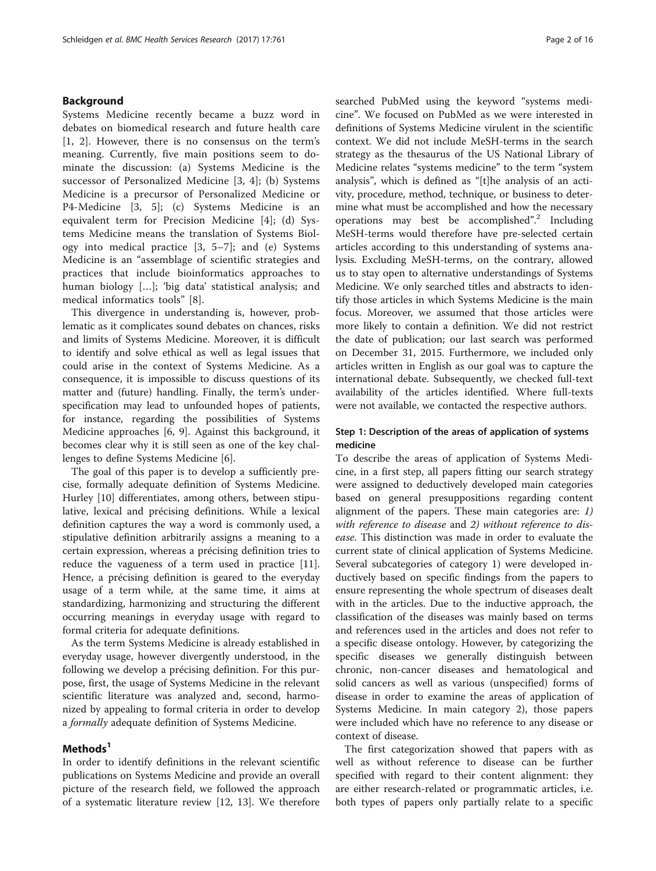#### Background

Systems Medicine recently became a buzz word in debates on biomedical research and future health care [[1, 2](#page-14-0)]. However, there is no consensus on the term's meaning. Currently, five main positions seem to dominate the discussion: (a) Systems Medicine is the successor of Personalized Medicine [\[3](#page-14-0), [4\]](#page-14-0); (b) Systems Medicine is a precursor of Personalized Medicine or P4-Medicine [[3, 5\]](#page-14-0); (c) Systems Medicine is an equivalent term for Precision Medicine [[4\]](#page-14-0); (d) Systems Medicine means the translation of Systems Biology into medical practice [\[3](#page-14-0), [5](#page-14-0)–[7](#page-14-0)]; and (e) Systems Medicine is an "assemblage of scientific strategies and practices that include bioinformatics approaches to human biology […]; 'big data' statistical analysis; and medical informatics tools" [[8](#page-14-0)].

This divergence in understanding is, however, problematic as it complicates sound debates on chances, risks and limits of Systems Medicine. Moreover, it is difficult to identify and solve ethical as well as legal issues that could arise in the context of Systems Medicine. As a consequence, it is impossible to discuss questions of its matter and (future) handling. Finally, the term's underspecification may lead to unfounded hopes of patients, for instance, regarding the possibilities of Systems Medicine approaches [[6, 9\]](#page-14-0). Against this background, it becomes clear why it is still seen as one of the key challenges to define Systems Medicine [[6\]](#page-14-0).

The goal of this paper is to develop a sufficiently precise, formally adequate definition of Systems Medicine. Hurley [\[10](#page-14-0)] differentiates, among others, between stipulative, lexical and précising definitions. While a lexical definition captures the way a word is commonly used, a stipulative definition arbitrarily assigns a meaning to a certain expression, whereas a précising definition tries to reduce the vagueness of a term used in practice [\[11](#page-14-0)]. Hence, a précising definition is geared to the everyday usage of a term while, at the same time, it aims at standardizing, harmonizing and structuring the different occurring meanings in everyday usage with regard to formal criteria for adequate definitions.

As the term Systems Medicine is already established in everyday usage, however divergently understood, in the following we develop a précising definition. For this purpose, first, the usage of Systems Medicine in the relevant scientific literature was analyzed and, second, harmonized by appealing to formal criteria in order to develop a *formally* adequate definition of Systems Medicine.

# Methods<sup>1</sup>

In order to identify definitions in the relevant scientific publications on Systems Medicine and provide an overall picture of the research field, we followed the approach of a systematic literature review [\[12](#page-14-0), [13](#page-14-0)]. We therefore searched PubMed using the keyword "systems medicine". We focused on PubMed as we were interested in definitions of Systems Medicine virulent in the scientific context. We did not include MeSH-terms in the search strategy as the thesaurus of the US National Library of Medicine relates "systems medicine" to the term "system analysis", which is defined as "[t]he analysis of an activity, procedure, method, technique, or business to determine what must be accomplished and how the necessary operations may best be accomplished". <sup>2</sup> Including MeSH-terms would therefore have pre-selected certain articles according to this understanding of systems analysis. Excluding MeSH-terms, on the contrary, allowed us to stay open to alternative understandings of Systems Medicine. We only searched titles and abstracts to identify those articles in which Systems Medicine is the main focus. Moreover, we assumed that those articles were more likely to contain a definition. We did not restrict the date of publication; our last search was performed on December 31, 2015. Furthermore, we included only articles written in English as our goal was to capture the international debate. Subsequently, we checked full-text availability of the articles identified. Where full-texts were not available, we contacted the respective authors.

#### Step 1: Description of the areas of application of systems medicine

To describe the areas of application of Systems Medicine, in a first step, all papers fitting our search strategy were assigned to deductively developed main categories based on general presuppositions regarding content alignment of the papers. These main categories are: 1) with reference to disease and 2) without reference to disease. This distinction was made in order to evaluate the current state of clinical application of Systems Medicine. Several subcategories of category 1) were developed inductively based on specific findings from the papers to ensure representing the whole spectrum of diseases dealt with in the articles. Due to the inductive approach, the classification of the diseases was mainly based on terms and references used in the articles and does not refer to a specific disease ontology. However, by categorizing the specific diseases we generally distinguish between chronic, non-cancer diseases and hematological and solid cancers as well as various (unspecified) forms of disease in order to examine the areas of application of Systems Medicine. In main category 2), those papers were included which have no reference to any disease or context of disease.

The first categorization showed that papers with as well as without reference to disease can be further specified with regard to their content alignment: they are either research-related or programmatic articles, i.e. both types of papers only partially relate to a specific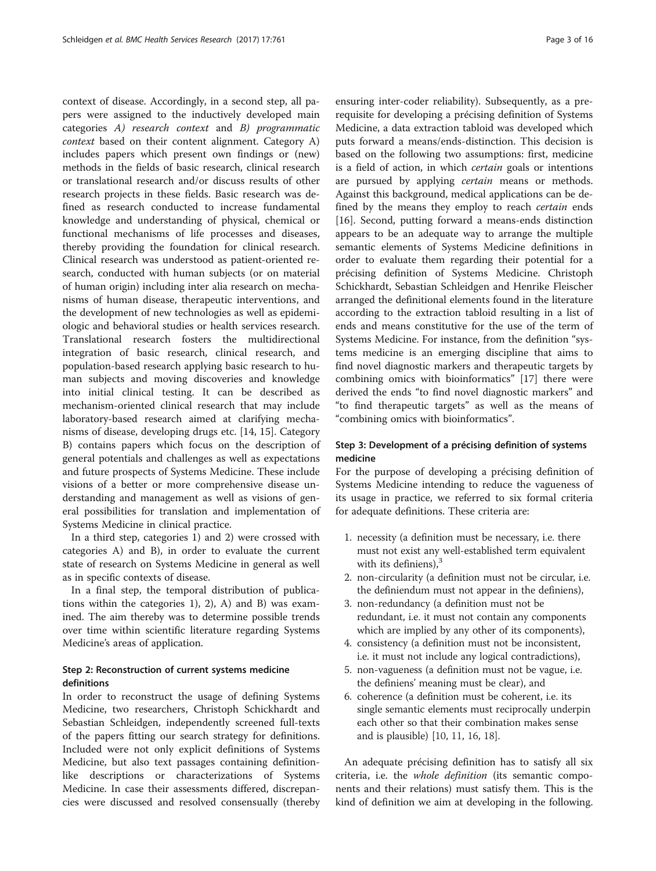context of disease. Accordingly, in a second step, all papers were assigned to the inductively developed main categories A) research context and B) programmatic context based on their content alignment. Category A) includes papers which present own findings or (new) methods in the fields of basic research, clinical research or translational research and/or discuss results of other research projects in these fields. Basic research was defined as research conducted to increase fundamental knowledge and understanding of physical, chemical or functional mechanisms of life processes and diseases, thereby providing the foundation for clinical research. Clinical research was understood as patient-oriented research, conducted with human subjects (or on material of human origin) including inter alia research on mechanisms of human disease, therapeutic interventions, and the development of new technologies as well as epidemiologic and behavioral studies or health services research. Translational research fosters the multidirectional integration of basic research, clinical research, and population-based research applying basic research to human subjects and moving discoveries and knowledge into initial clinical testing. It can be described as mechanism-oriented clinical research that may include laboratory-based research aimed at clarifying mechanisms of disease, developing drugs etc. [\[14, 15\]](#page-14-0). Category B) contains papers which focus on the description of general potentials and challenges as well as expectations and future prospects of Systems Medicine. These include visions of a better or more comprehensive disease understanding and management as well as visions of general possibilities for translation and implementation of Systems Medicine in clinical practice.

In a third step, categories 1) and 2) were crossed with categories A) and B), in order to evaluate the current state of research on Systems Medicine in general as well as in specific contexts of disease.

In a final step, the temporal distribution of publications within the categories 1), 2), A) and B) was examined. The aim thereby was to determine possible trends over time within scientific literature regarding Systems Medicine's areas of application.

### Step 2: Reconstruction of current systems medicine definitions

In order to reconstruct the usage of defining Systems Medicine, two researchers, Christoph Schickhardt and Sebastian Schleidgen, independently screened full-texts of the papers fitting our search strategy for definitions. Included were not only explicit definitions of Systems Medicine, but also text passages containing definitionlike descriptions or characterizations of Systems Medicine. In case their assessments differed, discrepancies were discussed and resolved consensually (thereby

ensuring inter-coder reliability). Subsequently, as a prerequisite for developing a précising definition of Systems Medicine, a data extraction tabloid was developed which puts forward a means/ends-distinction. This decision is based on the following two assumptions: first, medicine is a field of action, in which certain goals or intentions are pursued by applying *certain* means or methods. Against this background, medical applications can be defined by the means they employ to reach *certain* ends [[16\]](#page-15-0). Second, putting forward a means-ends distinction appears to be an adequate way to arrange the multiple semantic elements of Systems Medicine definitions in order to evaluate them regarding their potential for a précising definition of Systems Medicine. Christoph Schickhardt, Sebastian Schleidgen and Henrike Fleischer arranged the definitional elements found in the literature according to the extraction tabloid resulting in a list of ends and means constitutive for the use of the term of Systems Medicine. For instance, from the definition "systems medicine is an emerging discipline that aims to find novel diagnostic markers and therapeutic targets by combining omics with bioinformatics" [\[17](#page-15-0)] there were derived the ends "to find novel diagnostic markers" and "to find therapeutic targets" as well as the means of "combining omics with bioinformatics".

### Step 3: Development of a précising definition of systems medicine

For the purpose of developing a précising definition of Systems Medicine intending to reduce the vagueness of its usage in practice, we referred to six formal criteria for adequate definitions. These criteria are:

- 1. necessity (a definition must be necessary, i.e. there must not exist any well-established term equivalent with its definiens), $3$
- 2. non-circularity (a definition must not be circular, i.e. the definiendum must not appear in the definiens),
- 3. non-redundancy (a definition must not be redundant, i.e. it must not contain any components which are implied by any other of its components),
- 4. consistency (a definition must not be inconsistent, i.e. it must not include any logical contradictions),
- 5. non-vagueness (a definition must not be vague, i.e. the definiens' meaning must be clear), and
- 6. coherence (a definition must be coherent, i.e. its single semantic elements must reciprocally underpin each other so that their combination makes sense and is plausible) [\[10,](#page-14-0) [11,](#page-14-0) [16](#page-15-0), [18](#page-15-0)].

An adequate précising definition has to satisfy all six criteria, i.e. the *whole definition* (its semantic components and their relations) must satisfy them. This is the kind of definition we aim at developing in the following.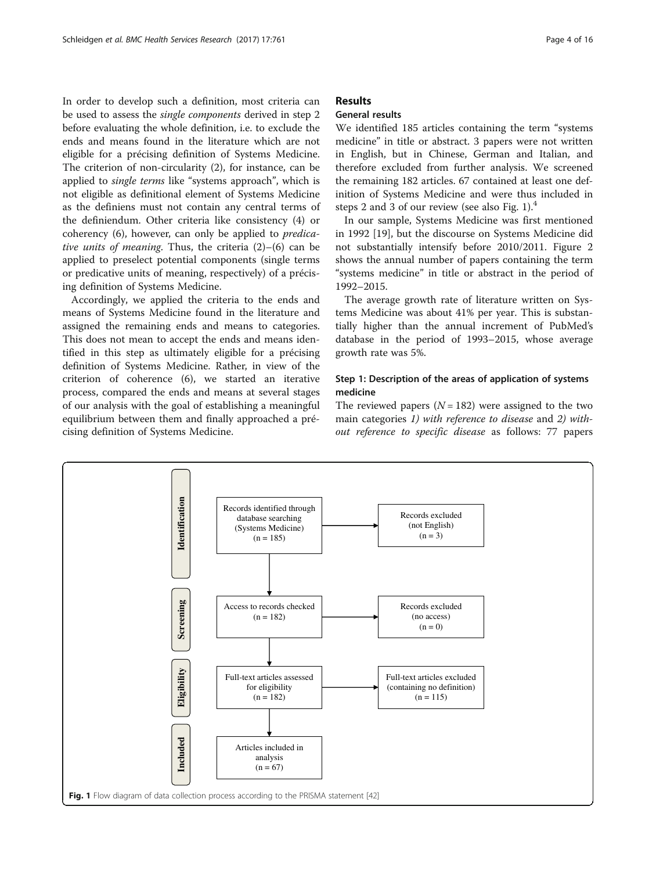In order to develop such a definition, most criteria can be used to assess the single components derived in step 2 before evaluating the whole definition, i.e. to exclude the ends and means found in the literature which are not eligible for a précising definition of Systems Medicine. The criterion of non-circularity (2), for instance, can be applied to single terms like "systems approach", which is not eligible as definitional element of Systems Medicine as the definiens must not contain any central terms of the definiendum. Other criteria like consistency (4) or coherency (6), however, can only be applied to predicative units of meaning. Thus, the criteria  $(2)-(6)$  can be applied to preselect potential components (single terms or predicative units of meaning, respectively) of a précising definition of Systems Medicine.

Accordingly, we applied the criteria to the ends and means of Systems Medicine found in the literature and assigned the remaining ends and means to categories. This does not mean to accept the ends and means identified in this step as ultimately eligible for a précising definition of Systems Medicine. Rather, in view of the criterion of coherence (6), we started an iterative process, compared the ends and means at several stages of our analysis with the goal of establishing a meaningful equilibrium between them and finally approached a précising definition of Systems Medicine.

# Results

#### General results

We identified 185 articles containing the term "systems medicine" in title or abstract. 3 papers were not written in English, but in Chinese, German and Italian, and therefore excluded from further analysis. We screened the remaining 182 articles. 67 contained at least one definition of Systems Medicine and were thus included in steps 2 and 3 of our review (see also Fig. 1).<sup>4</sup>

In our sample, Systems Medicine was first mentioned in 1992 [[19\]](#page-15-0), but the discourse on Systems Medicine did not substantially intensify before 2010/2011. Figure [2](#page-4-0) shows the annual number of papers containing the term "systems medicine" in title or abstract in the period of 1992–2015.

The average growth rate of literature written on Systems Medicine was about 41% per year. This is substantially higher than the annual increment of PubMed's database in the period of 1993–2015, whose average growth rate was 5%.

#### Step 1: Description of the areas of application of systems medicine

The reviewed papers ( $N = 182$ ) were assigned to the two main categories 1) with reference to disease and 2) without reference to specific disease as follows: 77 papers

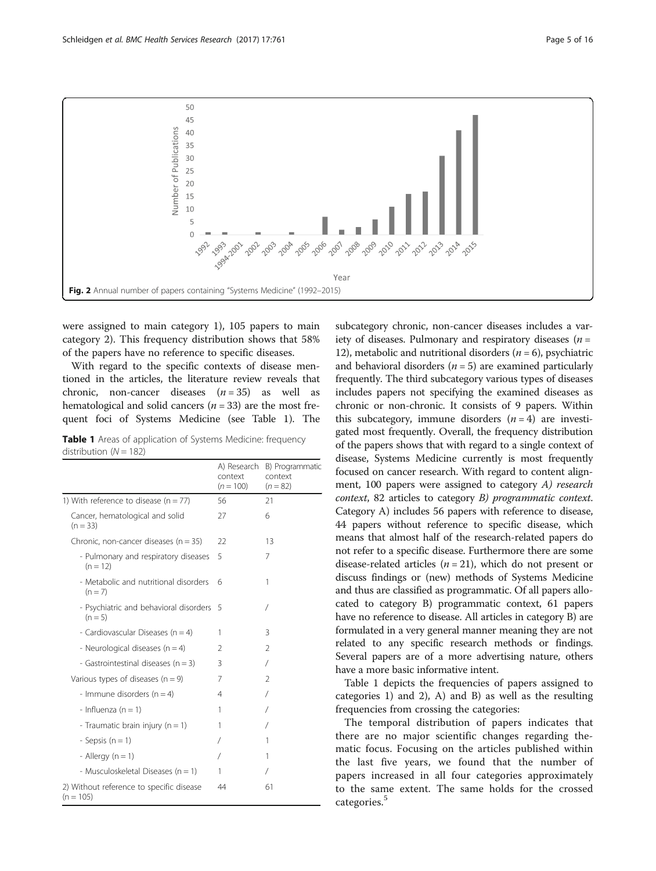<span id="page-4-0"></span>

were assigned to main category 1), 105 papers to main category 2). This frequency distribution shows that 58% of the papers have no reference to specific diseases.

With regard to the specific contexts of disease mentioned in the articles, the literature review reveals that chronic, non-cancer diseases  $(n = 35)$  as well as hematological and solid cancers ( $n = 33$ ) are the most frequent foci of Systems Medicine (see Table 1). The

Table 1 Areas of application of Systems Medicine: frequency distribution  $(N = 182)$ 

|                                                         | A) Research<br>context<br>$(n = 100)$ | B) Programmatic<br>context<br>$(n = 82)$ |
|---------------------------------------------------------|---------------------------------------|------------------------------------------|
| 1) With reference to disease ( $n = 77$ )               | 56                                    | 21                                       |
| Cancer, hematological and solid<br>$(n = 33)$           | 27                                    | 6                                        |
| Chronic, non-cancer diseases ( $n = 35$ )               | 22                                    | 13                                       |
| - Pulmonary and respiratory diseases<br>$(n = 12)$      | 5                                     | 7                                        |
| - Metabolic and nutritional disorders<br>$(n = 7)$      | 6                                     | 1                                        |
| - Psychiatric and behavioral disorders 5<br>$(n = 5)$   |                                       |                                          |
| - Cardiovascular Diseases ( $n = 4$ )                   | 1                                     | 3                                        |
| - Neurological diseases ( $n = 4$ )                     | $\mathcal{P}$                         | $\mathfrak{D}$                           |
| - Gastrointestinal diseases ( $n = 3$ )                 | 3                                     | $\prime$                                 |
| Various types of diseases $(n = 9)$                     | 7                                     | $\mathfrak{D}$                           |
| - Immune disorders $(n = 4)$                            | 4                                     |                                          |
| - Influenza $(n = 1)$                                   | 1                                     |                                          |
| - Traumatic brain injury ( $n = 1$ )                    | 1                                     | 7                                        |
| - Sepsis $(n = 1)$                                      | 7                                     | 1                                        |
| - Allergy $(n = 1)$                                     | 7                                     | 1                                        |
| - Musculoskeletal Diseases $(n = 1)$                    | 1                                     | 7                                        |
| 2) Without reference to specific disease<br>$(n = 105)$ | 44                                    | 61                                       |

subcategory chronic, non-cancer diseases includes a variety of diseases. Pulmonary and respiratory diseases  $(n =$ 12), metabolic and nutritional disorders ( $n = 6$ ), psychiatric and behavioral disorders ( $n = 5$ ) are examined particularly frequently. The third subcategory various types of diseases includes papers not specifying the examined diseases as chronic or non-chronic. It consists of 9 papers. Within this subcategory, immune disorders  $(n = 4)$  are investigated most frequently. Overall, the frequency distribution of the papers shows that with regard to a single context of disease, Systems Medicine currently is most frequently focused on cancer research. With regard to content alignment, 100 papers were assigned to category A) research context, 82 articles to category B) programmatic context. Category A) includes 56 papers with reference to disease, 44 papers without reference to specific disease, which means that almost half of the research-related papers do not refer to a specific disease. Furthermore there are some disease-related articles  $(n = 21)$ , which do not present or discuss findings or (new) methods of Systems Medicine and thus are classified as programmatic. Of all papers allocated to category B) programmatic context, 61 papers have no reference to disease. All articles in category B) are formulated in a very general manner meaning they are not related to any specific research methods or findings. Several papers are of a more advertising nature, others have a more basic informative intent.

Table 1 depicts the frequencies of papers assigned to categories 1) and 2), A) and B) as well as the resulting frequencies from crossing the categories:

The temporal distribution of papers indicates that there are no major scientific changes regarding thematic focus. Focusing on the articles published within the last five years, we found that the number of papers increased in all four categories approximately to the same extent. The same holds for the crossed categories.<sup>5</sup>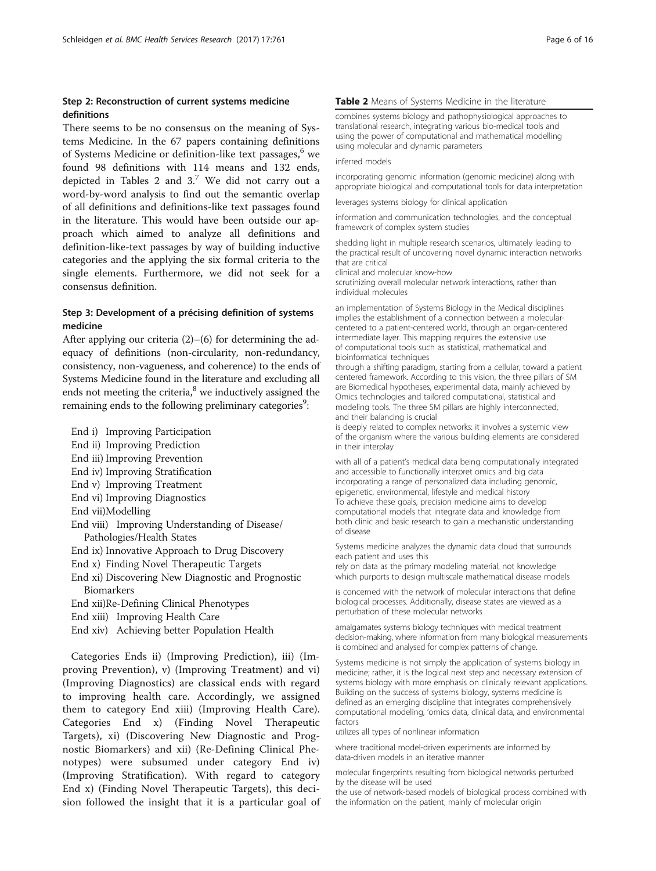#### Step 2: Reconstruction of current systems medicine definitions

There seems to be no consensus on the meaning of Systems Medicine. In the 67 papers containing definitions of Systems Medicine or definition-like text passages,<sup>6</sup> we found 98 definitions with 114 means and 132 ends, depicted in Tables 2 and  $3<sup>7</sup>$  We did not carry out a word-by-word analysis to find out the semantic overlap of all definitions and definitions-like text passages found in the literature. This would have been outside our approach which aimed to analyze all definitions and definition-like-text passages by way of building inductive categories and the applying the six formal criteria to the single elements. Furthermore, we did not seek for a consensus definition.

#### Step 3: Development of a précising definition of systems medicine

After applying our criteria (2)–(6) for determining the adequacy of definitions (non-circularity, non-redundancy, consistency, non-vagueness, and coherence) to the ends of Systems Medicine found in the literature and excluding all ends not meeting the criteria,<sup>8</sup> we inductively assigned the remaining ends to the following preliminary categories $^9$ :

- End i) Improving Participation
- End ii) Improving Prediction
- End iii) Improving Prevention
- End iv) Improving Stratification
- End v) Improving Treatment
- End vi) Improving Diagnostics
- End vii)Modelling
- End viii) Improving Understanding of Disease/ Pathologies/Health States
- End ix) Innovative Approach to Drug Discovery
- End x) Finding Novel Therapeutic Targets
- End xi) Discovering New Diagnostic and Prognostic Biomarkers
- End xii)Re-Defining Clinical Phenotypes
- End xiii) Improving Health Care
- End xiv) Achieving better Population Health

Categories Ends ii) (Improving Prediction), iii) (Improving Prevention), v) (Improving Treatment) and vi) (Improving Diagnostics) are classical ends with regard to improving health care. Accordingly, we assigned them to category End xiii) (Improving Health Care). Categories End x) (Finding Novel Therapeutic Targets), xi) (Discovering New Diagnostic and Prognostic Biomarkers) and xii) (Re-Defining Clinical Phenotypes) were subsumed under category End iv) (Improving Stratification). With regard to category End x) (Finding Novel Therapeutic Targets), this decision followed the insight that it is a particular goal of

#### Table 2 Means of Systems Medicine in the literature

combines systems biology and pathophysiological approaches to translational research, integrating various bio-medical tools and using the power of computational and mathematical modelling using molecular and dynamic parameters

#### inferred models

incorporating genomic information (genomic medicine) along with appropriate biological and computational tools for data interpretation

leverages systems biology for clinical application

information and communication technologies, and the conceptual framework of complex system studies

shedding light in multiple research scenarios, ultimately leading to the practical result of uncovering novel dynamic interaction networks that are critical

clinical and molecular know-how

scrutinizing overall molecular network interactions, rather than individual molecules

an implementation of Systems Biology in the Medical disciplines implies the establishment of a connection between a molecularcentered to a patient-centered world, through an organ-centered intermediate layer. This mapping requires the extensive use of computational tools such as statistical, mathematical and bioinformatical techniques

through a shifting paradigm, starting from a cellular, toward a patient centered framework. According to this vision, the three pillars of SM are Biomedical hypotheses, experimental data, mainly achieved by Omics technologies and tailored computational, statistical and modeling tools. The three SM pillars are highly interconnected, and their balancing is crucial

is deeply related to complex networks: it involves a systemic view of the organism where the various building elements are considered in their interplay

with all of a patient's medical data being computationally integrated and accessible to functionally interpret omics and big data incorporating a range of personalized data including genomic, epigenetic, environmental, lifestyle and medical history To achieve these goals, precision medicine aims to develop computational models that integrate data and knowledge from both clinic and basic research to gain a mechanistic understanding of disease

Systems medicine analyzes the dynamic data cloud that surrounds each patient and uses this

rely on data as the primary modeling material, not knowledge which purports to design multiscale mathematical disease models

is concerned with the network of molecular interactions that define biological processes. Additionally, disease states are viewed as a perturbation of these molecular networks

amalgamates systems biology techniques with medical treatment decision-making, where information from many biological measurements is combined and analysed for complex patterns of change.

Systems medicine is not simply the application of systems biology in medicine; rather, it is the logical next step and necessary extension of systems biology with more emphasis on clinically relevant applications. Building on the success of systems biology, systems medicine is defined as an emerging discipline that integrates comprehensively computational modeling, 'omics data, clinical data, and environmental factors

utilizes all types of nonlinear information

where traditional model-driven experiments are informed by data-driven models in an iterative manner

molecular fingerprints resulting from biological networks perturbed by the disease will be used

the use of network-based models of biological process combined with the information on the patient, mainly of molecular origin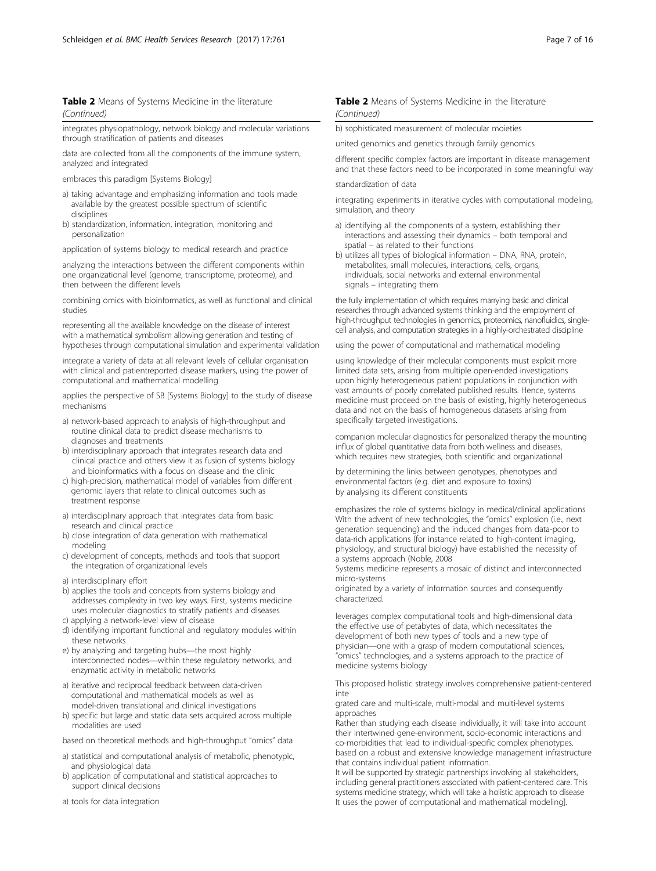#### Table 2 Means of Systems Medicine in the literature (Continued)

integrates physiopathology, network biology and molecular variations through stratification of patients and diseases

data are collected from all the components of the immune system, analyzed and integrated

embraces this paradigm [Systems Biology]

- a) taking advantage and emphasizing information and tools made available by the greatest possible spectrum of scientific disciplines
- b) standardization, information, integration, monitoring and personalization

application of systems biology to medical research and practice

analyzing the interactions between the different components within one organizational level (genome, transcriptome, proteome), and then between the different levels

combining omics with bioinformatics, as well as functional and clinical studies

representing all the available knowledge on the disease of interest with a mathematical symbolism allowing generation and testing of hypotheses through computational simulation and experimental validation

integrate a variety of data at all relevant levels of cellular organisation with clinical and patientreported disease markers, using the power of computational and mathematical modelling

applies the perspective of SB [Systems Biology] to the study of disease mechanisms

- a) network-based approach to analysis of high-throughput and routine clinical data to predict disease mechanisms to diagnoses and treatments
- b) interdisciplinary approach that integrates research data and clinical practice and others view it as fusion of systems biology and bioinformatics with a focus on disease and the clinic
- c) high-precision, mathematical model of variables from different genomic layers that relate to clinical outcomes such as treatment response
- a) interdisciplinary approach that integrates data from basic research and clinical practice
- b) close integration of data generation with mathematical modeling
- c) development of concepts, methods and tools that support the integration of organizational levels
- a) interdisciplinary effort
- b) applies the tools and concepts from systems biology and addresses complexity in two key ways. First, systems medicine uses molecular diagnostics to stratify patients and diseases
- c) applying a network-level view of disease
- d) identifying important functional and regulatory modules within these networks
- e) by analyzing and targeting hubs—the most highly interconnected nodes—within these regulatory networks, and enzymatic activity in metabolic networks
- a) iterative and reciprocal feedback between data-driven computational and mathematical models as well as model-driven translational and clinical investigations
- b) specific but large and static data sets acquired across multiple modalities are used

based on theoretical methods and high-throughput "omics" data

- a) statistical and computational analysis of metabolic, phenotypic, and physiological data
- b) application of computational and statistical approaches to support clinical decisions
- a) tools for data integration

#### Table 2 Means of Systems Medicine in the literature (Continued)

b) sophisticated measurement of molecular moieties

united genomics and genetics through family genomics

different specific complex factors are important in disease management and that these factors need to be incorporated in some meaningful way

standardization of data

integrating experiments in iterative cycles with computational modeling, simulation, and theory

- a) identifying all the components of a system, establishing their interactions and assessing their dynamics – both temporal and spatial – as related to their functions
- b) utilizes all types of biological information DNA, RNA, protein, metabolites, small molecules, interactions, cells, organs, individuals, social networks and external environmental signals – integrating them

the fully implementation of which requires marrying basic and clinical researches through advanced systems thinking and the employment of high-throughput technologies in genomics, proteomics, nanofluidics, singlecell analysis, and computation strategies in a highly-orchestrated discipline

using the power of computational and mathematical modeling

using knowledge of their molecular components must exploit more limited data sets, arising from multiple open-ended investigations upon highly heterogeneous patient populations in conjunction with vast amounts of poorly correlated published results. Hence, systems medicine must proceed on the basis of existing, highly heterogeneous data and not on the basis of homogeneous datasets arising from specifically targeted investigations.

companion molecular diagnostics for personalized therapy the mounting influx of global quantitative data from both wellness and diseases, which requires new strategies, both scientific and organizational

by determining the links between genotypes, phenotypes and environmental factors (e.g. diet and exposure to toxins) by analysing its different constituents

emphasizes the role of systems biology in medical/clinical applications With the advent of new technologies, the "omics" explosion (i.e., next generation sequencing) and the induced changes from data-poor to data-rich applications (for instance related to high-content imaging, physiology, and structural biology) have established the necessity of a systems approach (Noble, 2008

Systems medicine represents a mosaic of distinct and interconnected micro-systems

originated by a variety of information sources and consequently characterized.

leverages complex computational tools and high-dimensional data the effective use of petabytes of data, which necessitates the development of both new types of tools and a new type of physician—one with a grasp of modern computational sciences, "omics" technologies, and a systems approach to the practice of medicine systems biology

This proposed holistic strategy involves comprehensive patient-centered inte

grated care and multi-scale, multi-modal and multi-level systems approaches

Rather than studying each disease individually, it will take into account their intertwined gene-environment, socio-economic interactions and co-morbidities that lead to individual-specific complex phenotypes. based on a robust and extensive knowledge management infrastructure that contains individual patient information.

It will be supported by strategic partnerships involving all stakeholders, including general practitioners associated with patient-centered care. This systems medicine strategy, which will take a holistic approach to disease It uses the power of computational and mathematical modeling].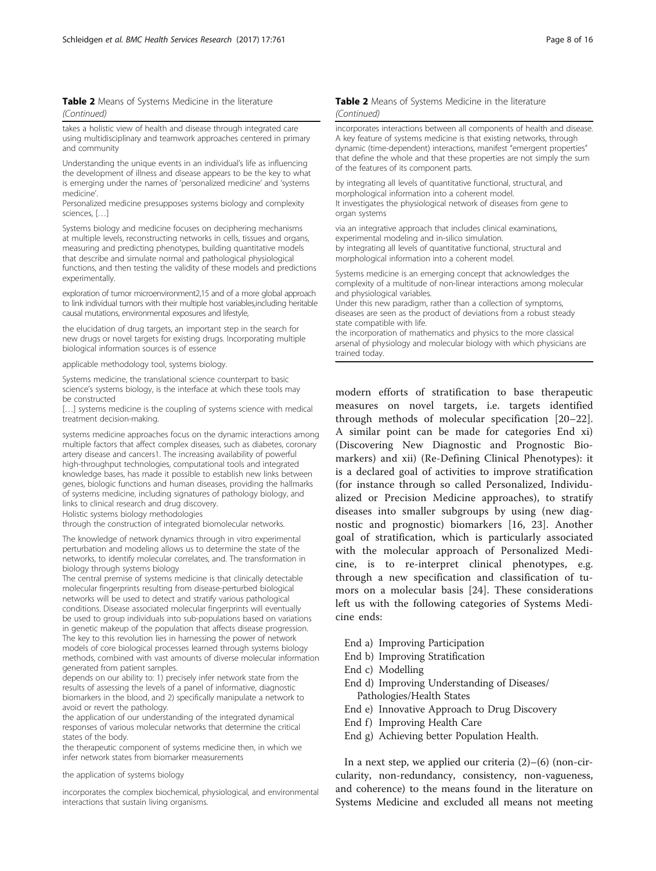#### Table 2 Means of Systems Medicine in the literature (Continued)

takes a holistic view of health and disease through integrated care using multidisciplinary and teamwork approaches centered in primary and community

Understanding the unique events in an individual's life as influencing the development of illness and disease appears to be the key to what is emerging under the names of 'personalized medicine' and 'systems medicine'.

Personalized medicine presupposes systems biology and complexity sciences, […]

Systems biology and medicine focuses on deciphering mechanisms at multiple levels, reconstructing networks in cells, tissues and organs, measuring and predicting phenotypes, building quantitative models that describe and simulate normal and pathological physiological functions, and then testing the validity of these models and predictions experimentally.

exploration of tumor microenvironment2,15 and of a more global approach to link individual tumors with their multiple host variables,including heritable causal mutations, environmental exposures and lifestyle,

the elucidation of drug targets, an important step in the search for new drugs or novel targets for existing drugs. Incorporating multiple biological information sources is of essence

applicable methodology tool, systems biology.

Systems medicine, the translational science counterpart to basic science's systems biology, is the interface at which these tools may be constructed

[...] systems medicine is the coupling of systems science with medical treatment decision-making.

systems medicine approaches focus on the dynamic interactions among multiple factors that affect complex diseases, such as diabetes, coronary artery disease and cancers1. The increasing availability of powerful high-throughput technologies, computational tools and integrated knowledge bases, has made it possible to establish new links between genes, biologic functions and human diseases, providing the hallmarks of systems medicine, including signatures of pathology biology, and links to clinical research and drug discovery.

Holistic systems biology methodologies through the construction of integrated biomolecular networks.

The knowledge of network dynamics through in vitro experimental perturbation and modeling allows us to determine the state of the networks, to identify molecular correlates, and. The transformation in biology through systems biology

The central premise of systems medicine is that clinically detectable molecular fingerprints resulting from disease-perturbed biological networks will be used to detect and stratify various pathological conditions. Disease associated molecular fingerprints will eventually be used to group individuals into sub-populations based on variations in genetic makeup of the population that affects disease progression. The key to this revolution lies in harnessing the power of network models of core biological processes learned through systems biology methods, combined with vast amounts of diverse molecular information generated from patient samples.

depends on our ability to: 1) precisely infer network state from the results of assessing the levels of a panel of informative, diagnostic biomarkers in the blood, and 2) specifically manipulate a network to avoid or revert the pathology.

the application of our understanding of the integrated dynamical responses of various molecular networks that determine the critical states of the body.

the therapeutic component of systems medicine then, in which we infer network states from biomarker measurements

the application of systems biology

incorporates the complex biochemical, physiological, and environmental interactions that sustain living organisms.

#### Table 2 Means of Systems Medicine in the literature (Continued)

incorporates interactions between all components of health and disease. A key feature of systems medicine is that existing networks, through dynamic (time-dependent) interactions, manifest "emergent properties" that define the whole and that these properties are not simply the sum of the features of its component parts.

by integrating all levels of quantitative functional, structural, and morphological information into a coherent model. It investigates the physiological network of diseases from gene to organ systems

via an integrative approach that includes clinical examinations, experimental modeling and in-silico simulation. by integrating all levels of quantitative functional, structural and morphological information into a coherent model.

Systems medicine is an emerging concept that acknowledges the complexity of a multitude of non-linear interactions among molecular and physiological variables.

Under this new paradigm, rather than a collection of symptoms, diseases are seen as the product of deviations from a robust steady state compatible with life.

the incorporation of mathematics and physics to the more classical arsenal of physiology and molecular biology with which physicians are trained today.

modern efforts of stratification to base therapeutic measures on novel targets, i.e. targets identified through methods of molecular specification [\[20](#page-15-0)–[22](#page-15-0)]. A similar point can be made for categories End xi) (Discovering New Diagnostic and Prognostic Biomarkers) and xii) (Re-Defining Clinical Phenotypes): it is a declared goal of activities to improve stratification (for instance through so called Personalized, Individualized or Precision Medicine approaches), to stratify diseases into smaller subgroups by using (new diagnostic and prognostic) biomarkers [[16, 23\]](#page-15-0). Another goal of stratification, which is particularly associated with the molecular approach of Personalized Medicine, is to re-interpret clinical phenotypes, e.g. through a new specification and classification of tumors on a molecular basis [[24\]](#page-15-0). These considerations left us with the following categories of Systems Medicine ends:

End a) Improving Participation

- End b) Improving Stratification
- End c) Modelling
- End d) Improving Understanding of Diseases/ Pathologies/Health States

End e) Innovative Approach to Drug Discovery

End f) Improving Health Care

End g) Achieving better Population Health.

In a next step, we applied our criteria  $(2)$ – $(6)$  (non-circularity, non-redundancy, consistency, non-vagueness, and coherence) to the means found in the literature on Systems Medicine and excluded all means not meeting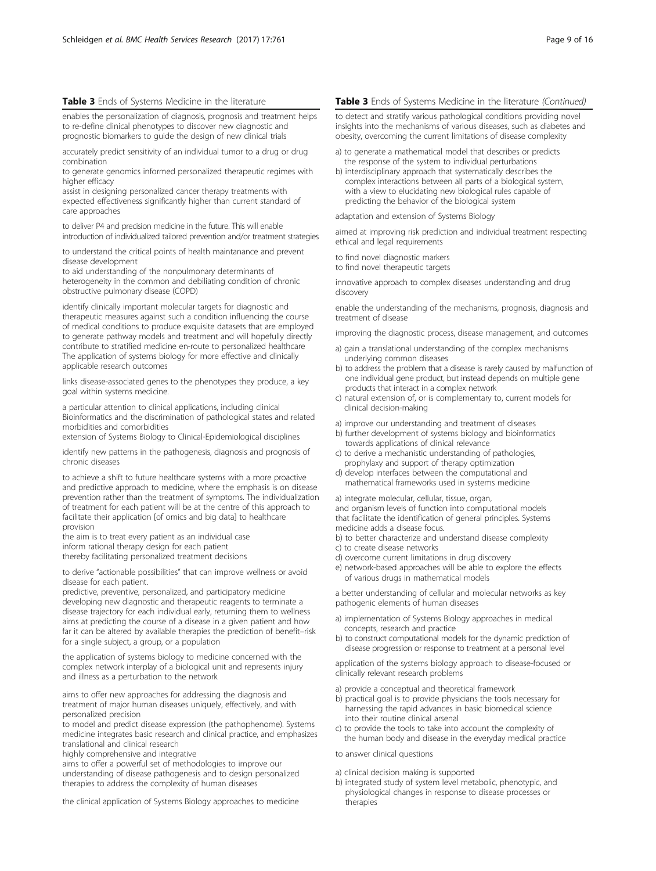#### <span id="page-8-0"></span>Table 3 Ends of Systems Medicine in the literature

enables the personalization of diagnosis, prognosis and treatment helps to re-define clinical phenotypes to discover new diagnostic and prognostic biomarkers to guide the design of new clinical trials

accurately predict sensitivity of an individual tumor to a drug or drug combination

to generate genomics informed personalized therapeutic regimes with higher efficacy

assist in designing personalized cancer therapy treatments with expected effectiveness significantly higher than current standard of care approaches

to deliver P4 and precision medicine in the future. This will enable introduction of individualized tailored prevention and/or treatment strategies

to understand the critical points of health maintanance and prevent disease development

to aid understanding of the nonpulmonary determinants of heterogeneity in the common and debiliating condition of chronic obstructive pulmonary disease (COPD)

identify clinically important molecular targets for diagnostic and therapeutic measures against such a condition influencing the course of medical conditions to produce exquisite datasets that are employed to generate pathway models and treatment and will hopefully directly contribute to stratified medicine en-route to personalized healthcare The application of systems biology for more effective and clinically applicable research outcomes

links disease-associated genes to the phenotypes they produce, a key goal within systems medicine.

a particular attention to clinical applications, including clinical Bioinformatics and the discrimination of pathological states and related morbidities and comorbidities

extension of Systems Biology to Clinical-Epidemiological disciplines

identify new patterns in the pathogenesis, diagnosis and prognosis of chronic diseases

to achieve a shift to future healthcare systems with a more proactive and predictive approach to medicine, where the emphasis is on disease prevention rather than the treatment of symptoms. The individualization of treatment for each patient will be at the centre of this approach to facilitate their application [of omics and big data] to healthcare provision

the aim is to treat every patient as an individual case inform rational therapy design for each patient thereby facilitating personalized treatment decisions

to derive "actionable possibilities" that can improve wellness or avoid disease for each patient.

predictive, preventive, personalized, and participatory medicine developing new diagnostic and therapeutic reagents to terminate a disease trajectory for each individual early, returning them to wellness aims at predicting the course of a disease in a given patient and how far it can be altered by available therapies the prediction of benefit–risk for a single subject, a group, or a population

the application of systems biology to medicine concerned with the complex network interplay of a biological unit and represents injury and illness as a perturbation to the network

aims to offer new approaches for addressing the diagnosis and treatment of major human diseases uniquely, effectively, and with personalized precision

to model and predict disease expression (the pathophenome). Systems medicine integrates basic research and clinical practice, and emphasizes translational and clinical research

highly comprehensive and integrative

aims to offer a powerful set of methodologies to improve our understanding of disease pathogenesis and to design personalized therapies to address the complexity of human diseases

the clinical application of Systems Biology approaches to medicine

#### Table 3 Ends of Systems Medicine in the literature (Continued)

to detect and stratify various pathological conditions providing novel insights into the mechanisms of various diseases, such as diabetes and obesity, overcoming the current limitations of disease complexity

- a) to generate a mathematical model that describes or predicts the response of the system to individual perturbations
- b) interdisciplinary approach that systematically describes the complex interactions between all parts of a biological system, with a view to elucidating new biological rules capable of predicting the behavior of the biological system

adaptation and extension of Systems Biology

aimed at improving risk prediction and individual treatment respecting ethical and legal requirements

to find novel diagnostic markers to find novel therapeutic targets

innovative approach to complex diseases understanding and drug discovery

enable the understanding of the mechanisms, prognosis, diagnosis and treatment of disease

improving the diagnostic process, disease management, and outcomes

- a) gain a translational understanding of the complex mechanisms underlying common diseases
- b) to address the problem that a disease is rarely caused by malfunction of one individual gene product, but instead depends on multiple gene products that interact in a complex network
- c) natural extension of, or is complementary to, current models for clinical decision-making
- a) improve our understanding and treatment of diseases
- b) further development of systems biology and bioinformatics towards applications of clinical relevance
- c) to derive a mechanistic understanding of pathologies, prophylaxy and support of therapy optimization
- d) develop interfaces between the computational and mathematical frameworks used in systems medicine

a) integrate molecular, cellular, tissue, organ,

and organism levels of function into computational models that facilitate the identification of general principles. Systems medicine adds a disease focus.

- b) to better characterize and understand disease complexity
- c) to create disease networks
- d) overcome current limitations in drug discovery
- e) network-based approaches will be able to explore the effects of various drugs in mathematical models

a better understanding of cellular and molecular networks as key pathogenic elements of human diseases

- a) implementation of Systems Biology approaches in medical concepts, research and practice
- b) to construct computational models for the dynamic prediction of disease progression or response to treatment at a personal level

application of the systems biology approach to disease-focused or clinically relevant research problems

- a) provide a conceptual and theoretical framework
- b) practical goal is to provide physicians the tools necessary for harnessing the rapid advances in basic biomedical science into their routine clinical arsenal
- c) to provide the tools to take into account the complexity of the human body and disease in the everyday medical practice
- to answer clinical questions
- a) clinical decision making is supported
- b) integrated study of system level metabolic, phenotypic, and physiological changes in response to disease processes or therapies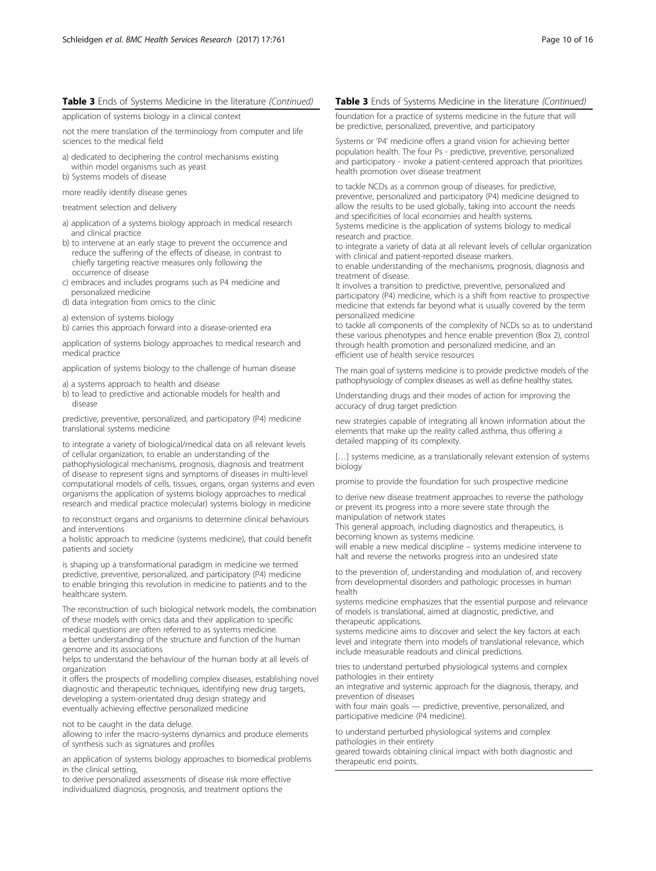#### Table 3 Ends of Systems Medicine in the literature (Continued)

application of systems biology in a clinical context

not the mere translation of the terminology from computer and life sciences to the medical field

- a) dedicated to deciphering the control mechanisms existing within model organisms such as yeast b) Systems models of disease
- more readily identify disease genes

treatment selection and delivery

- a) application of a systems biology approach in medical research and clinical practice
- b) to intervene at an early stage to prevent the occurrence and reduce the suffering of the effects of disease, in contrast to chiefly targeting reactive measures only following the occurrence of disease
- c) embraces and includes programs such as P4 medicine and personalized medicine
- d) data integration from omics to the clinic
- a) extension of systems biology
- b) carries this approach forward into a disease-oriented era

application of systems biology approaches to medical research and medical practice

application of systems biology to the challenge of human disease

- a) a systems approach to health and disease
- b) to lead to predictive and actionable models for health and disease

predictive, preventive, personalized, and participatory (P4) medicine translational systems medicine

to integrate a variety of biological/medical data on all relevant levels of cellular organization, to enable an understanding of the pathophysiological mechanisms, prognosis, diagnosis and treatment of disease to represent signs and symptoms of diseases in multi-level computational models of cells, tissues, organs, organ systems and even organisms the application of systems biology approaches to medical research and medical practice molecular) systems biology in medicine

to reconstruct organs and organisms to determine clinical behaviours and interventions

a holistic approach to medicine (systems medicine), that could benefit patients and society

is shaping up a transformational paradigm in medicine we termed predictive, preventive, personalized, and participatory (P4) medicine to enable bringing this revolution in medicine to patients and to the healthcare system.

The reconstruction of such biological network models, the combination of these models with omics data and their application to specific medical questions are often referred to as systems medicine.

a better understanding of the structure and function of the human genome and its associations

helps to understand the behaviour of the human body at all levels of organization

it offers the prospects of modelling complex diseases, establishing novel diagnostic and therapeutic techniques, identifying new drug targets, developing a system-orientated drug design strategy and eventually achieving effective personalized medicine

not to be caught in the data deluge.

allowing to infer the macro-systems dynamics and produce elements of synthesis such as signatures and profiles

an application of systems biology approaches to biomedical problems in the clinical setting,

to derive personalized assessments of disease risk more effective individualized diagnosis, prognosis, and treatment options the

#### Table 3 Ends of Systems Medicine in the literature (Continued)

foundation for a practice of systems medicine in the future that will be predictive, personalized, preventive, and participatory

Systems or 'P4' medicine offers a grand vision for achieving better population health. The four Ps - predictive, preventive, personalized and participatory - invoke a patient-centered approach that prioritizes health promotion over disease treatment

to tackle NCDs as a common group of diseases. for predictive, preventive, personalized and participatory (P4) medicine designed to allow the results to be used globally, taking into account the needs and specificities of local economies and health systems. Systems medicine is the application of systems biology to medical research and practice.

to integrate a variety of data at all relevant levels of cellular organization with clinical and patient-reported disease markers.

to enable understanding of the mechanisms, prognosis, diagnosis and treatment of disease.

It involves a transition to predictive, preventive, personalized and participatory (P4) medicine, which is a shift from reactive to prospective medicine that extends far beyond what is usually covered by the term personalized medicine

to tackle all components of the complexity of NCDs so as to understand these various phenotypes and hence enable prevention (Box 2), control through health promotion and personalized medicine, and an efficient use of health service resources

The main goal of systems medicine is to provide predictive models of the pathophysiology of complex diseases as well as define healthy states.

Understanding drugs and their modes of action for improving the accuracy of drug target prediction

new strategies capable of integrating all known information about the elements that make up the reality called asthma, thus offering a detailed mapping of its complexity.

[…] systems medicine, as a translationally relevant extension of systems biology

promise to provide the foundation for such prospective medicine

to derive new disease treatment approaches to reverse the pathology or prevent its progress into a more severe state through the manipulation of network states

This general approach, including diagnostics and therapeutics, is becoming known as systems medicine.

will enable a new medical discipline – systems medicine intervene to halt and reverse the networks progress into an undesired state

to the prevention of, understanding and modulation of, and recovery from developmental disorders and pathologic processes in human health

systems medicine emphasizes that the essential purpose and relevance of models is translational, aimed at diagnostic, predictive, and therapeutic applications.

systems medicine aims to discover and select the key factors at each level and integrate them into models of translational relevance, which include measurable readouts and clinical predictions.

tries to understand perturbed physiological systems and complex pathologies in their entirety

an integrative and systemic approach for the diagnosis, therapy, and prevention of diseases

with four main goals — predictive, preventive, personalized, and participative medicine (P4 medicine).

to understand perturbed physiological systems and complex pathologies in their entirety

geared towards obtaining clinical impact with both diagnostic and therapeutic end points.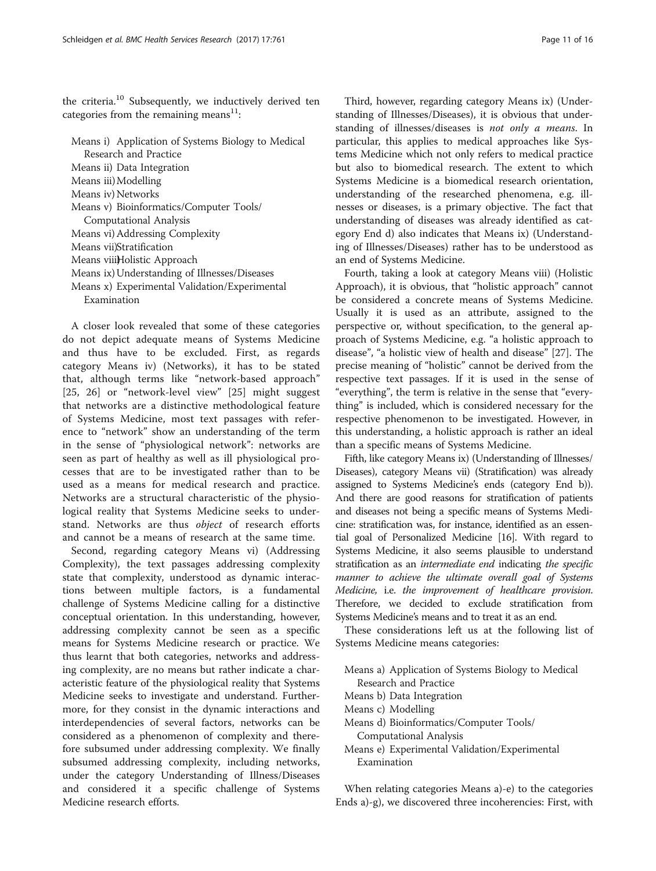the criteria.<sup>10</sup> Subsequently, we inductively derived ten categories from the remaining means $11$ :

Means i) Application of Systems Biology to Medical Research and Practice Means ii) Data Integration Means iii) Modelling Means iv) Networks Means v) Bioinformatics/Computer Tools/ Computational Analysis Means vi) Addressing Complexity Means vii)Stratification Means viiiHolistic Approach Means ix)Understanding of Illnesses/Diseases Means x) Experimental Validation/Experimental Examination

A closer look revealed that some of these categories do not depict adequate means of Systems Medicine and thus have to be excluded. First, as regards category Means iv) (Networks), it has to be stated that, although terms like "network-based approach" [[25, 26](#page-15-0)] or "network-level view" [\[25](#page-15-0)] might suggest that networks are a distinctive methodological feature of Systems Medicine, most text passages with reference to "network" show an understanding of the term in the sense of "physiological network": networks are seen as part of healthy as well as ill physiological processes that are to be investigated rather than to be used as a means for medical research and practice. Networks are a structural characteristic of the physiological reality that Systems Medicine seeks to understand. Networks are thus object of research efforts and cannot be a means of research at the same time.

Second, regarding category Means vi) (Addressing Complexity), the text passages addressing complexity state that complexity, understood as dynamic interactions between multiple factors, is a fundamental challenge of Systems Medicine calling for a distinctive conceptual orientation. In this understanding, however, addressing complexity cannot be seen as a specific means for Systems Medicine research or practice. We thus learnt that both categories, networks and addressing complexity, are no means but rather indicate a characteristic feature of the physiological reality that Systems Medicine seeks to investigate and understand. Furthermore, for they consist in the dynamic interactions and interdependencies of several factors, networks can be considered as a phenomenon of complexity and therefore subsumed under addressing complexity. We finally subsumed addressing complexity, including networks, under the category Understanding of Illness/Diseases and considered it a specific challenge of Systems Medicine research efforts.

Third, however, regarding category Means ix) (Understanding of Illnesses/Diseases), it is obvious that understanding of illnesses/diseases is not only a means. In particular, this applies to medical approaches like Systems Medicine which not only refers to medical practice but also to biomedical research. The extent to which Systems Medicine is a biomedical research orientation, understanding of the researched phenomena, e.g. illnesses or diseases, is a primary objective. The fact that understanding of diseases was already identified as category End d) also indicates that Means ix) (Understanding of Illnesses/Diseases) rather has to be understood as an end of Systems Medicine.

Fourth, taking a look at category Means viii) (Holistic Approach), it is obvious, that "holistic approach" cannot be considered a concrete means of Systems Medicine. Usually it is used as an attribute, assigned to the perspective or, without specification, to the general approach of Systems Medicine, e.g. "a holistic approach to disease", "a holistic view of health and disease" [\[27\]](#page-15-0). The precise meaning of "holistic" cannot be derived from the respective text passages. If it is used in the sense of "everything", the term is relative in the sense that "everything" is included, which is considered necessary for the respective phenomenon to be investigated. However, in this understanding, a holistic approach is rather an ideal than a specific means of Systems Medicine.

Fifth, like category Means ix) (Understanding of Illnesses/ Diseases), category Means vii) (Stratification) was already assigned to Systems Medicine's ends (category End b)). And there are good reasons for stratification of patients and diseases not being a specific means of Systems Medicine: stratification was, for instance, identified as an essential goal of Personalized Medicine [\[16\]](#page-15-0). With regard to Systems Medicine, it also seems plausible to understand stratification as an intermediate end indicating the specific manner to achieve the ultimate overall goal of Systems Medicine, i.e. the improvement of healthcare provision. Therefore, we decided to exclude stratification from Systems Medicine's means and to treat it as an end.

These considerations left us at the following list of Systems Medicine means categories:

Means a) Application of Systems Biology to Medical Research and Practice

- Means b) Data Integration
- Means c) Modelling
- Means d) Bioinformatics/Computer Tools/ Computational Analysis
- Means e) Experimental Validation/Experimental Examination

When relating categories Means a)-e) to the categories Ends a)-g), we discovered three incoherencies: First, with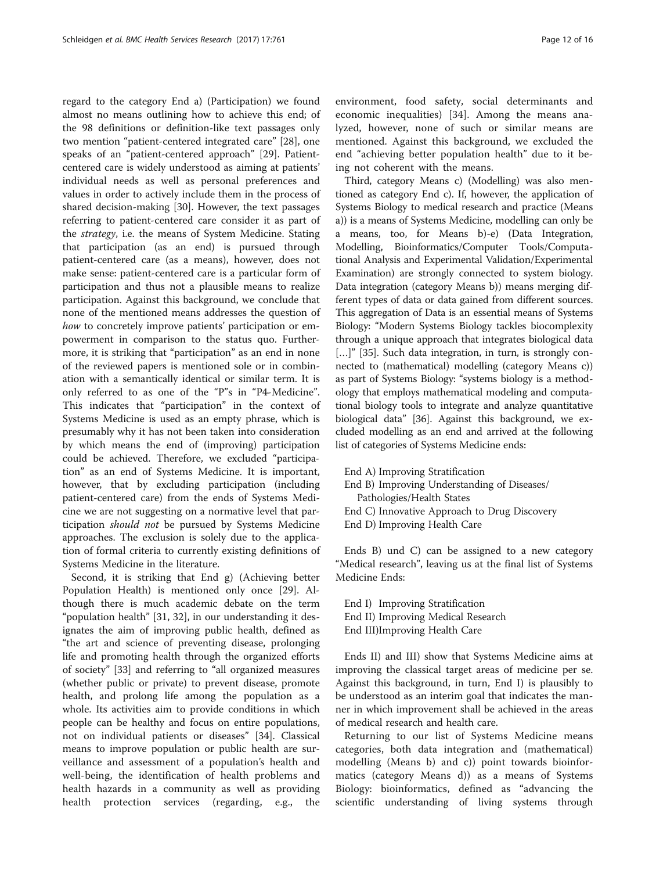regard to the category End a) (Participation) we found almost no means outlining how to achieve this end; of the 98 definitions or definition-like text passages only two mention "patient-centered integrated care" [\[28](#page-15-0)], one speaks of an "patient-centered approach" [[29\]](#page-15-0). Patientcentered care is widely understood as aiming at patients' individual needs as well as personal preferences and values in order to actively include them in the process of shared decision-making [[30\]](#page-15-0). However, the text passages referring to patient-centered care consider it as part of the strategy, i.e. the means of System Medicine. Stating that participation (as an end) is pursued through patient-centered care (as a means), however, does not make sense: patient-centered care is a particular form of participation and thus not a plausible means to realize participation. Against this background, we conclude that none of the mentioned means addresses the question of how to concretely improve patients' participation or empowerment in comparison to the status quo. Furthermore, it is striking that "participation" as an end in none of the reviewed papers is mentioned sole or in combination with a semantically identical or similar term. It is only referred to as one of the "P"s in "P4-Medicine". This indicates that "participation" in the context of Systems Medicine is used as an empty phrase, which is presumably why it has not been taken into consideration by which means the end of (improving) participation could be achieved. Therefore, we excluded "participation" as an end of Systems Medicine. It is important, however, that by excluding participation (including patient-centered care) from the ends of Systems Medicine we are not suggesting on a normative level that participation should not be pursued by Systems Medicine approaches. The exclusion is solely due to the application of formal criteria to currently existing definitions of Systems Medicine in the literature.

Second, it is striking that End g) (Achieving better Population Health) is mentioned only once [[29](#page-15-0)]. Although there is much academic debate on the term "population health" [\[31, 32\]](#page-15-0), in our understanding it designates the aim of improving public health, defined as "the art and science of preventing disease, prolonging life and promoting health through the organized efforts of society" [\[33](#page-15-0)] and referring to "all organized measures (whether public or private) to prevent disease, promote health, and prolong life among the population as a whole. Its activities aim to provide conditions in which people can be healthy and focus on entire populations, not on individual patients or diseases" [[34\]](#page-15-0). Classical means to improve population or public health are surveillance and assessment of a population's health and well-being, the identification of health problems and health hazards in a community as well as providing health protection services (regarding, e.g., the

environment, food safety, social determinants and economic inequalities) [[34\]](#page-15-0). Among the means analyzed, however, none of such or similar means are mentioned. Against this background, we excluded the end "achieving better population health" due to it being not coherent with the means.

Third, category Means c) (Modelling) was also mentioned as category End c). If, however, the application of Systems Biology to medical research and practice (Means a)) is a means of Systems Medicine, modelling can only be a means, too, for Means b)-e) (Data Integration, Modelling, Bioinformatics/Computer Tools/Computational Analysis and Experimental Validation/Experimental Examination) are strongly connected to system biology. Data integration (category Means b)) means merging different types of data or data gained from different sources. This aggregation of Data is an essential means of Systems Biology: "Modern Systems Biology tackles biocomplexity through a unique approach that integrates biological data [...]" [\[35\]](#page-15-0). Such data integration, in turn, is strongly connected to (mathematical) modelling (category Means c)) as part of Systems Biology: "systems biology is a methodology that employs mathematical modeling and computational biology tools to integrate and analyze quantitative biological data" [[36](#page-15-0)]. Against this background, we excluded modelling as an end and arrived at the following list of categories of Systems Medicine ends:

End A) Improving Stratification

- End B) Improving Understanding of Diseases/
- Pathologies/Health States
- End C) Innovative Approach to Drug Discovery
- End D) Improving Health Care

Ends B) und C) can be assigned to a new category "Medical research", leaving us at the final list of Systems Medicine Ends:

End I) Improving Stratification End II) Improving Medical Research End III)Improving Health Care

Ends II) and III) show that Systems Medicine aims at improving the classical target areas of medicine per se. Against this background, in turn, End I) is plausibly to be understood as an interim goal that indicates the manner in which improvement shall be achieved in the areas of medical research and health care.

Returning to our list of Systems Medicine means categories, both data integration and (mathematical) modelling (Means b) and c)) point towards bioinformatics (category Means d)) as a means of Systems Biology: bioinformatics, defined as "advancing the scientific understanding of living systems through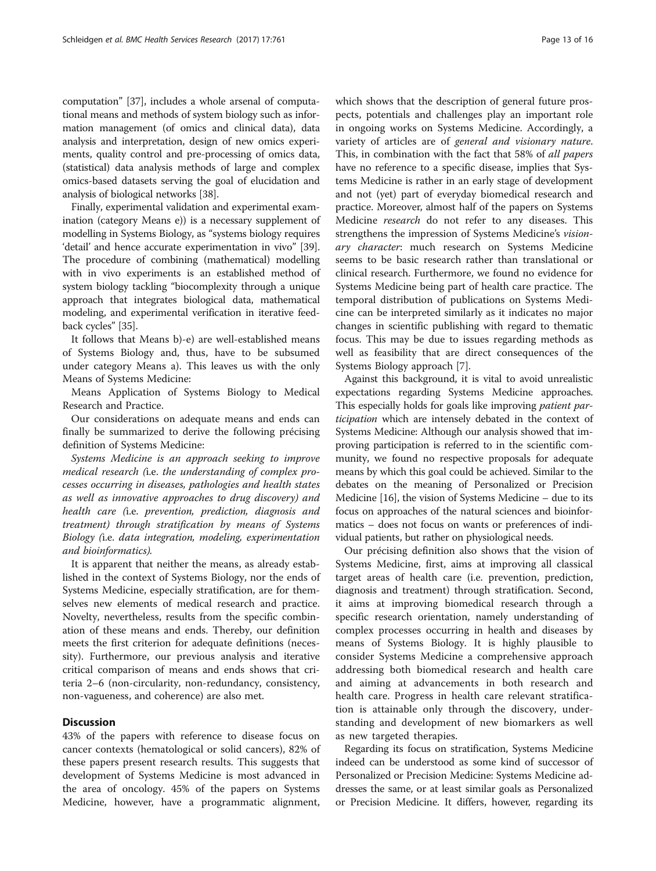computation" [\[37\]](#page-15-0), includes a whole arsenal of computational means and methods of system biology such as information management (of omics and clinical data), data analysis and interpretation, design of new omics experiments, quality control and pre-processing of omics data, (statistical) data analysis methods of large and complex omics-based datasets serving the goal of elucidation and analysis of biological networks [[38\]](#page-15-0).

Finally, experimental validation and experimental examination (category Means e)) is a necessary supplement of modelling in Systems Biology, as "systems biology requires 'detail' and hence accurate experimentation in vivo" [[39](#page-15-0)]. The procedure of combining (mathematical) modelling with in vivo experiments is an established method of system biology tackling "biocomplexity through a unique approach that integrates biological data, mathematical modeling, and experimental verification in iterative feedback cycles" [\[35](#page-15-0)].

It follows that Means b)-e) are well-established means of Systems Biology and, thus, have to be subsumed under category Means a). This leaves us with the only Means of Systems Medicine:

Means Application of Systems Biology to Medical Research and Practice.

Our considerations on adequate means and ends can finally be summarized to derive the following précising definition of Systems Medicine:

Systems Medicine is an approach seeking to improve medical research (i.e. the understanding of complex processes occurring in diseases, pathologies and health states as well as innovative approaches to drug discovery) and health care (i.e. prevention, prediction, diagnosis and treatment) through stratification by means of Systems Biology (i.e. data integration, modeling, experimentation and bioinformatics).

It is apparent that neither the means, as already established in the context of Systems Biology, nor the ends of Systems Medicine, especially stratification, are for themselves new elements of medical research and practice. Novelty, nevertheless, results from the specific combination of these means and ends. Thereby, our definition meets the first criterion for adequate definitions (necessity). Furthermore, our previous analysis and iterative critical comparison of means and ends shows that criteria 2–6 (non-circularity, non-redundancy, consistency, non-vagueness, and coherence) are also met.

#### **Discussion**

43% of the papers with reference to disease focus on cancer contexts (hematological or solid cancers), 82% of these papers present research results. This suggests that development of Systems Medicine is most advanced in the area of oncology. 45% of the papers on Systems Medicine, however, have a programmatic alignment,

which shows that the description of general future prospects, potentials and challenges play an important role in ongoing works on Systems Medicine. Accordingly, a variety of articles are of general and visionary nature. This, in combination with the fact that 58% of all papers have no reference to a specific disease, implies that Systems Medicine is rather in an early stage of development and not (yet) part of everyday biomedical research and practice. Moreover, almost half of the papers on Systems Medicine research do not refer to any diseases. This strengthens the impression of Systems Medicine's visionary character: much research on Systems Medicine seems to be basic research rather than translational or clinical research. Furthermore, we found no evidence for Systems Medicine being part of health care practice. The temporal distribution of publications on Systems Medicine can be interpreted similarly as it indicates no major changes in scientific publishing with regard to thematic focus. This may be due to issues regarding methods as well as feasibility that are direct consequences of the Systems Biology approach [\[7](#page-14-0)].

Against this background, it is vital to avoid unrealistic expectations regarding Systems Medicine approaches. This especially holds for goals like improving *patient par*ticipation which are intensely debated in the context of Systems Medicine: Although our analysis showed that improving participation is referred to in the scientific community, we found no respective proposals for adequate means by which this goal could be achieved. Similar to the debates on the meaning of Personalized or Precision Medicine  $[16]$  $[16]$ , the vision of Systems Medicine – due to its focus on approaches of the natural sciences and bioinformatics – does not focus on wants or preferences of individual patients, but rather on physiological needs.

Our précising definition also shows that the vision of Systems Medicine, first, aims at improving all classical target areas of health care (i.e. prevention, prediction, diagnosis and treatment) through stratification. Second, it aims at improving biomedical research through a specific research orientation, namely understanding of complex processes occurring in health and diseases by means of Systems Biology. It is highly plausible to consider Systems Medicine a comprehensive approach addressing both biomedical research and health care and aiming at advancements in both research and health care. Progress in health care relevant stratification is attainable only through the discovery, understanding and development of new biomarkers as well as new targeted therapies.

Regarding its focus on stratification, Systems Medicine indeed can be understood as some kind of successor of Personalized or Precision Medicine: Systems Medicine addresses the same, or at least similar goals as Personalized or Precision Medicine. It differs, however, regarding its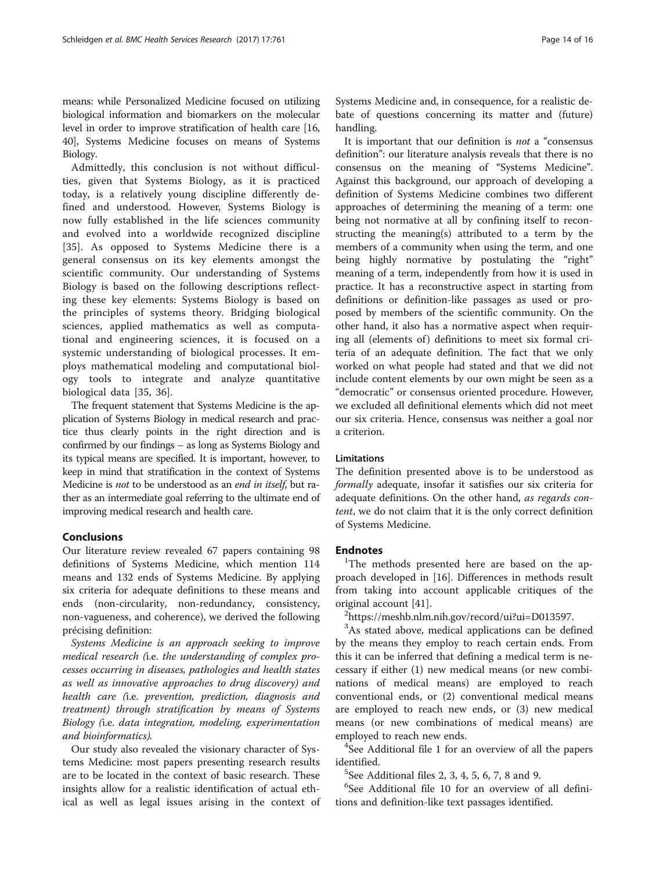means: while Personalized Medicine focused on utilizing biological information and biomarkers on the molecular level in order to improve stratification of health care [[16](#page-15-0), [40](#page-15-0)], Systems Medicine focuses on means of Systems Biology.

Admittedly, this conclusion is not without difficulties, given that Systems Biology, as it is practiced today, is a relatively young discipline differently defined and understood. However, Systems Biology is now fully established in the life sciences community and evolved into a worldwide recognized discipline [[35\]](#page-15-0). As opposed to Systems Medicine there is a general consensus on its key elements amongst the scientific community. Our understanding of Systems Biology is based on the following descriptions reflecting these key elements: Systems Biology is based on the principles of systems theory. Bridging biological sciences, applied mathematics as well as computational and engineering sciences, it is focused on a systemic understanding of biological processes. It employs mathematical modeling and computational biology tools to integrate and analyze quantitative biological data [\[35](#page-15-0), [36](#page-15-0)].

The frequent statement that Systems Medicine is the application of Systems Biology in medical research and practice thus clearly points in the right direction and is confirmed by our findings – as long as Systems Biology and its typical means are specified. It is important, however, to keep in mind that stratification in the context of Systems Medicine is *not* to be understood as an *end in itself*, but rather as an intermediate goal referring to the ultimate end of improving medical research and health care.

### Conclusions

Our literature review revealed 67 papers containing 98 definitions of Systems Medicine, which mention 114 means and 132 ends of Systems Medicine. By applying six criteria for adequate definitions to these means and ends (non-circularity, non-redundancy, consistency, non-vagueness, and coherence), we derived the following précising definition:

Systems Medicine is an approach seeking to improve medical research (i.e. the understanding of complex processes occurring in diseases, pathologies and health states as well as innovative approaches to drug discovery) and health care (i.e. prevention, prediction, diagnosis and treatment) through stratification by means of Systems Biology (i.e. data integration, modeling, experimentation and bioinformatics).

Our study also revealed the visionary character of Systems Medicine: most papers presenting research results are to be located in the context of basic research. These insights allow for a realistic identification of actual ethical as well as legal issues arising in the context of Systems Medicine and, in consequence, for a realistic debate of questions concerning its matter and (future) handling.

It is important that our definition is not a "consensus definition": our literature analysis reveals that there is no consensus on the meaning of "Systems Medicine". Against this background, our approach of developing a definition of Systems Medicine combines two different approaches of determining the meaning of a term: one being not normative at all by confining itself to reconstructing the meaning(s) attributed to a term by the members of a community when using the term, and one being highly normative by postulating the "right" meaning of a term, independently from how it is used in practice. It has a reconstructive aspect in starting from definitions or definition-like passages as used or proposed by members of the scientific community. On the other hand, it also has a normative aspect when requiring all (elements of) definitions to meet six formal criteria of an adequate definition. The fact that we only worked on what people had stated and that we did not include content elements by our own might be seen as a "democratic" or consensus oriented procedure. However, we excluded all definitional elements which did not meet our six criteria. Hence, consensus was neither a goal nor a criterion.

#### Limitations

The definition presented above is to be understood as formally adequate, insofar it satisfies our six criteria for adequate definitions. On the other hand, as regards content, we do not claim that it is the only correct definition of Systems Medicine.

#### **Endnotes**

<sup>1</sup>The methods presented here are based on the approach developed in [\[16](#page-15-0)]. Differences in methods result from taking into account applicable critiques of the original account [[41\]](#page-15-0). <sup>2</sup>

<sup>2</sup><https://meshb.nlm.nih.gov/record/ui?ui=D013597>.

<sup>3</sup>As stated above, medical applications can be defined by the means they employ to reach certain ends. From this it can be inferred that defining a medical term is necessary if either (1) new medical means (or new combinations of medical means) are employed to reach conventional ends, or (2) conventional medical means are employed to reach new ends, or (3) new medical means (or new combinations of medical means) are employed to reach new ends.

<sup>4</sup>See Additional file [1](#page-14-0) for an overview of all the papers identified.

 ${}^{5}$ See Additional files [2](#page-14-0), [3](#page-14-0), [4](#page-14-0), [5](#page-14-0), [6](#page-14-0), [7](#page-14-0), [8](#page-14-0) and [9](#page-14-0).

6 See Additional file [10](#page-14-0) for an overview of all definitions and definition-like text passages identified.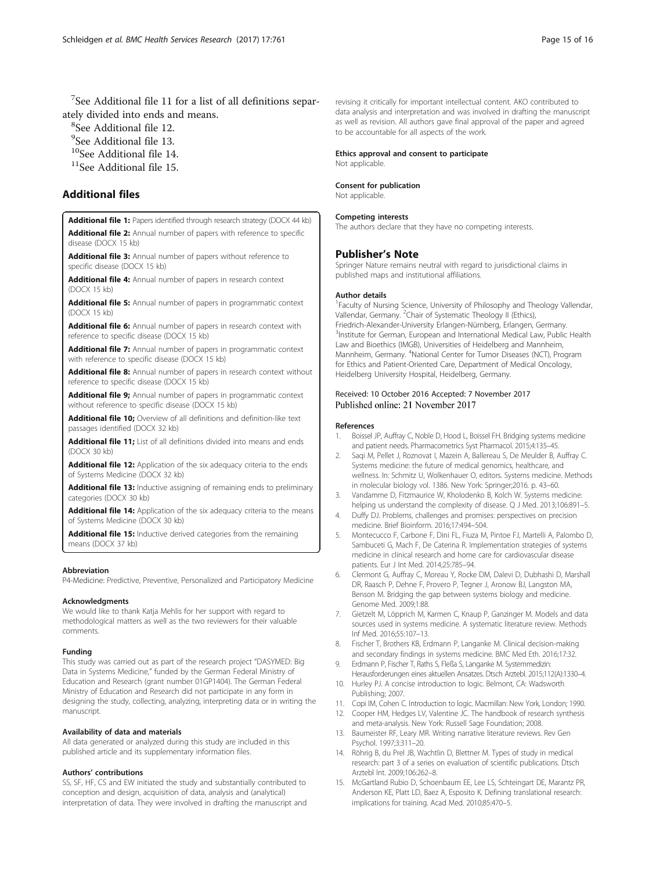<span id="page-14-0"></span><sup>7</sup>See Additional file 11 for a list of all definitions separately divided into ends and means.

See Additional file 12.

<sup>9</sup>See Additional file 13.

<sup>10</sup>See Additional file 14.

<sup>11</sup>See Additional file 15.

#### Additional files

[Additional file 1:](dx.doi.org/10.1186/s12913-017-2688-z) Papers identified through research strategy (DOCX 44 kb) [Additional file 2:](dx.doi.org/10.1186/s12913-017-2688-z) Annual number of papers with reference to specific disease (DOCX 15 kb)

[Additional file 3:](dx.doi.org/10.1186/s12913-017-2688-z) Annual number of papers without reference to specific disease (DOCX 15 kb)

[Additional file 4:](dx.doi.org/10.1186/s12913-017-2688-z) Annual number of papers in research context (DOCX 15 kb)

[Additional file 5:](dx.doi.org/10.1186/s12913-017-2688-z) Annual number of papers in programmatic context (DOCX 15 kb)

[Additional file 6:](dx.doi.org/10.1186/s12913-017-2688-z) Annual number of papers in research context with reference to specific disease (DOCX 15 kb)

[Additional file 7:](dx.doi.org/10.1186/s12913-017-2688-z) Annual number of papers in programmatic context with reference to specific disease (DOCX 15 kb)

[Additional file 8:](dx.doi.org/10.1186/s12913-017-2688-z) Annual number of papers in research context without reference to specific disease (DOCX 15 kb)

[Additional file 9;](dx.doi.org/10.1186/s12913-017-2688-z) Annual number of papers in programmatic context without reference to specific disease (DOCX 15 kb)

[Additional file 10;](dx.doi.org/10.1186/s12913-017-2688-z) Overview of all definitions and definition-like text passages identified (DOCX 32 kb)

[Additional file 11;](dx.doi.org/10.1186/s12913-017-2688-z) List of all definitions divided into means and ends (DOCX 30 kb)

[Additional file 12:](dx.doi.org/10.1186/s12913-017-2688-z) Application of the six adequacy criteria to the ends of Systems Medicine (DOCX 32 kb)

[Additional file 13:](dx.doi.org/10.1186/s12913-017-2688-z) Inductive assigning of remaining ends to preliminary categories (DOCX 30 kb)

[Additional file 14:](dx.doi.org/10.1186/s12913-017-2688-z) Application of the six adequacy criteria to the means of Systems Medicine (DOCX 30 kb)

[Additional file 15:](dx.doi.org/10.1186/s12913-017-2688-z) Inductive derived categories from the remaining means (DOCX 37 kb)

#### Abbreviation

P4-Medicine: Predictive, Preventive, Personalized and Participatory Medicine

#### **Acknowledaments**

We would like to thank Katja Mehlis for her support with regard to methodological matters as well as the two reviewers for their valuable comments.

#### Funding

This study was carried out as part of the research project "DASYMED: Big Data in Systems Medicine," funded by the German Federal Ministry of Education and Research (grant number 01GP1404). The German Federal Ministry of Education and Research did not participate in any form in designing the study, collecting, analyzing, interpreting data or in writing the manuscript.

#### Availability of data and materials

All data generated or analyzed during this study are included in this published article and its supplementary information files.

#### Authors' contributions

SS, SF, HF, CS and EW initiated the study and substantially contributed to conception and design, acquisition of data, analysis and (analytical) interpretation of data. They were involved in drafting the manuscript and revising it critically for important intellectual content. AKO contributed to data analysis and interpretation and was involved in drafting the manuscript as well as revision. All authors gave final approval of the paper and agreed to be accountable for all aspects of the work.

#### Ethics approval and consent to participate

Not applicable.

#### Consent for publication Not applicable.

Competing interests The authors declare that they have no competing interests.

#### Publisher's Note

Springer Nature remains neutral with regard to jurisdictional claims in published maps and institutional affiliations.

#### Author details

<sup>1</sup> Faculty of Nursing Science, University of Philosophy and Theology Vallendar, Vallendar, Germany. <sup>2</sup>Chair of Systematic Theology II (Ethics), Friedrich-Alexander-University Erlangen-Nürnberg, Erlangen, Germany. <sup>3</sup>Institute for German, European and International Medical Law, Public Health Law and Bioethics (IMGB), Universities of Heidelberg and Mannheim, Mannheim, Germany. <sup>4</sup>National Center for Tumor Diseases (NCT), Program for Ethics and Patient-Oriented Care, Department of Medical Oncology, Heidelberg University Hospital, Heidelberg, Germany.

#### Received: 10 October 2016 Accepted: 7 November 2017 Published online: 21 November 2017

#### References

- 1. Boissel JP, Auffray C, Noble D, Hood L, Boissel FH. Bridging systems medicine and patient needs. Pharmacometrics Syst Pharmacol. 2015;4:135–45.
- 2. Saqi M, Pellet J, Roznovat I, Mazein A, Ballereau S, De Meulder B, Auffray C. Systems medicine: the future of medical genomics, healthcare, and wellness. In: Schmitz U, Wolkenhauer O, editors. Systems medicine. Methods in molecular biology vol. 1386. New York: Springer;2016. p. 43–60.
- 3. Vandamme D, Fitzmaurice W, Kholodenko B, Kolch W. Systems medicine: helping us understand the complexity of disease. Q J Med. 2013;106:891–5.
- 4. Duffy DJ. Problems, challenges and promises: perspectives on precision medicine. Brief Bioinform. 2016;17:494–504.
- 5. Montecucco F, Carbone F, Dini FL, Fiuza M, Pintoe FJ, Martelli A, Palombo D, Sambuceti G, Mach F, De Caterina R. Implementation strategies of systems medicine in clinical research and home care for cardiovascular disease patients. Eur J Int Med. 2014;25:785–94.
- 6. Clermont G, Auffray C, Moreau Y, Rocke DM, Dalevi D, Dubhashi D, Marshall DR, Raasch P, Dehne F, Provero P, Tegner J, Aronow BJ, Langston MA, Benson M. Bridging the gap between systems biology and medicine. Genome Med. 2009;1:88.
- 7. Gietzelt M, Löpprich M, Karmen C, Knaup P, Ganzinger M. Models and data sources used in systems medicine. A systematic literature review. Methods Inf Med. 2016;55:107–13.
- 8. Fischer T, Brothers KB, Erdmann P, Langanke M. Clinical decision-making and secondary findings in systems medicine. BMC Med Eth. 2016;17:32.
- 9. Erdmann P, Fischer T, Raths S, Fleßa S, Langanke M. Systemmedizin: Herausforderungen eines aktuellen Ansatzes. Dtsch Arztebl. 2015;112(A):1330–4.
- 10. Hurley PJ. A concise introduction to logic. Belmont, CA: Wadsworth Publishing; 2007.
- 11. Copi IM, Cohen C. Introduction to logic. Macmillan: New York, London; 1990.
- 12. Cooper HM, Hedges LV, Valentine JC. The handbook of research synthesis and meta-analysis. New York: Russell Sage Foundation; 2008.
- 13. Baumeister RF, Leary MR. Writing narrative literature reviews. Rev Gen Psychol. 1997;3:311–20.
- 14. Röhrig B, du Prel JB, Wachtlin D, Blettner M. Types of study in medical research: part 3 of a series on evaluation of scientific publications. Dtsch Arztebl Int. 2009;106:262–8.
- 15. McGartland Rubio D, Schoenbaum EE, Lee LS, Schteingart DE, Marantz PR, Anderson KE, Platt LD, Baez A, Esposito K. Defining translational research: implications for training. Acad Med. 2010;85:470–5.